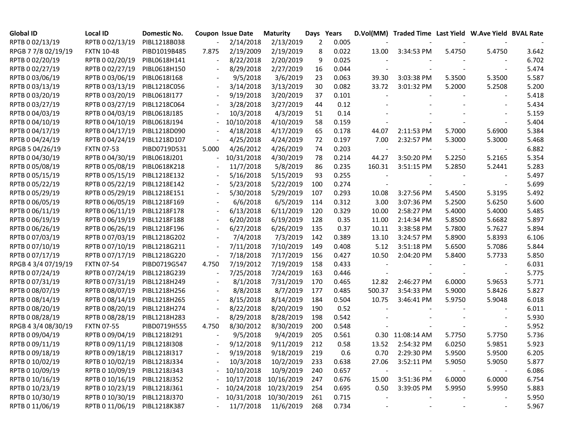| <b>Global ID</b>    | <b>Local ID</b>   | Domestic No. |       | <b>Coupon Issue Date</b> | <b>Maturity</b>       | Days Years |       |        | D.Vol(MM) Traded Time Last Yield W.Ave Yield BVAL Rate |        |        |       |
|---------------------|-------------------|--------------|-------|--------------------------|-----------------------|------------|-------|--------|--------------------------------------------------------|--------|--------|-------|
| RPTB 0 02/13/19     | RPTB 0 02/13/19   | PIBL1218B038 |       | 2/14/2018                | 2/13/2019             | 2          | 0.005 |        |                                                        |        |        |       |
| RPGB 7 7/8 02/19/19 | <b>FXTN 10-48</b> | PIBD1019B485 | 7.875 | 2/19/2009                | 2/19/2019             | 8          | 0.022 | 13.00  | 3:34:53 PM                                             | 5.4750 | 5.4750 | 3.642 |
| RPTB 0 02/20/19     | RPTB 0 02/20/19   | PIBL0618H141 |       | 8/22/2018                | 2/20/2019             | 9          | 0.025 |        |                                                        |        |        | 6.702 |
| RPTB 0 02/27/19     | RPTB 0 02/27/19   | PIBL0618H150 |       | 8/29/2018                | 2/27/2019             | 16         | 0.044 |        |                                                        |        |        | 5.474 |
| RPTB 0 03/06/19     | RPTB 0 03/06/19   | PIBL0618I168 |       | 9/5/2018                 | 3/6/2019              | 23         | 0.063 | 39.30  | 3:03:38 PM                                             | 5.3500 | 5.3500 | 5.587 |
| RPTB 0 03/13/19     | RPTB 0 03/13/19   | PIBL1218C056 |       | 3/14/2018                | 3/13/2019             | 30         | 0.082 | 33.72  | 3:01:32 PM                                             | 5.2000 | 5.2508 | 5.200 |
| RPTB 0 03/20/19     | RPTB 0 03/20/19   | PIBL0618I177 |       | 9/19/2018                | 3/20/2019             | 37         | 0.101 |        |                                                        |        |        | 5.418 |
| RPTB 0 03/27/19     | RPTB 0 03/27/19   | PIBL1218C064 |       | 3/28/2018                | 3/27/2019             | 44         | 0.12  |        |                                                        |        |        | 5.434 |
| RPTB 0 04/03/19     | RPTB 0 04/03/19   | PIBL0618J185 |       | 10/3/2018                | 4/3/2019              | 51         | 0.14  |        |                                                        |        |        | 5.159 |
| RPTB 0 04/10/19     | RPTB 0 04/10/19   | PIBL0618J194 |       | 10/10/2018               | 4/10/2019             | 58         | 0.159 |        |                                                        |        |        | 5.404 |
| RPTB 0 04/17/19     | RPTB 0 04/17/19   | PIBL1218D090 |       | 4/18/2018                | 4/17/2019             | 65         | 0.178 | 44.07  | 2:11:53 PM                                             | 5.7000 | 5.6900 | 5.384 |
| RPTB 0 04/24/19     | RPTB 0 04/24/19   | PIBL1218D107 |       | 4/25/2018                | 4/24/2019             | 72         | 0.197 | 7.00   | 2:32:57 PM                                             | 5.3000 | 5.3000 | 5.468 |
| RPGB 5 04/26/19     | <b>FXTN 07-53</b> | PIBD0719D531 | 5.000 | 4/26/2012                | 4/26/2019             | 74         | 0.203 |        |                                                        |        |        | 6.882 |
| RPTB 0 04/30/19     | RPTB 0 04/30/19   | PIBL0618J201 |       | 10/31/2018               | 4/30/2019             | 78         | 0.214 | 44.27  | 3:50:20 PM                                             | 5.2250 | 5.2165 | 5.354 |
| RPTB 0 05/08/19     | RPTB 0 05/08/19   | PIBL0618K218 |       | 11/7/2018                | 5/8/2019              | 86         | 0.235 | 160.31 | 3:51:15 PM                                             | 5.2850 | 5.2441 | 5.283 |
| RPTB 0 05/15/19     | RPTB 0 05/15/19   | PIBL1218E132 |       | 5/16/2018                | 5/15/2019             | 93         | 0.255 |        |                                                        |        |        | 5.497 |
| RPTB 0 05/22/19     | RPTB 0 05/22/19   | PIBL1218E142 |       | 5/23/2018                | 5/22/2019             | 100        | 0.274 |        |                                                        |        |        | 5.699 |
| RPTB 0 05/29/19     | RPTB 0 05/29/19   | PIBL1218E151 |       | 5/30/2018                | 5/29/2019             | 107        | 0.293 | 10.08  | 3:27:56 PM                                             | 5.4500 | 5.3195 | 5.492 |
| RPTB 0 06/05/19     | RPTB 0 06/05/19   | PIBL1218F169 |       | 6/6/2018                 | 6/5/2019              | 114        | 0.312 | 3.00   | 3:07:36 PM                                             | 5.2500 | 5.6250 | 5.600 |
| RPTB 0 06/11/19     | RPTB 0 06/11/19   | PIBL1218F178 |       | 6/13/2018                | 6/11/2019             | 120        | 0.329 | 10.00  | 2:58:27 PM                                             | 5.4000 | 5.4000 | 5.485 |
| RPTB 0 06/19/19     | RPTB 0 06/19/19   | PIBL1218F188 |       | 6/20/2018                | 6/19/2019             | 128        | 0.35  | 11.00  | 2:14:34 PM                                             | 5.8500 | 5.6682 | 5.897 |
| RPTB 0 06/26/19     | RPTB 0 06/26/19   | PIBL1218F196 |       | 6/27/2018                | 6/26/2019             | 135        | 0.37  | 10.11  | 3:38:58 PM                                             | 5.7800 | 5.7627 | 5.894 |
| RPTB 0 07/03/19     | RPTB 0 07/03/19   | PIBL1218G202 |       | 7/4/2018                 | 7/3/2019              | 142        | 0.389 | 13.10  | 3:24:57 PM                                             | 5.8900 | 5.8393 | 6.106 |
| RPTB 0 07/10/19     | RPTB 0 07/10/19   | PIBL1218G211 |       | 7/11/2018                | 7/10/2019             | 149        | 0.408 | 5.12   | 3:51:18 PM                                             | 5.6500 | 5.7086 | 5.844 |
| RPTB 0 07/17/19     | RPTB 0 07/17/19   | PIBL1218G220 |       | 7/18/2018                | 7/17/2019             | 156        | 0.427 | 10.50  | 2:04:20 PM                                             | 5.8400 | 5.7733 | 5.850 |
| RPGB 4 3/4 07/19/19 | <b>FXTN 07-54</b> | PIBD0719G547 | 4.750 | 7/19/2012                | 7/19/2019             | 158        | 0.433 |        |                                                        |        |        | 6.031 |
| RPTB 0 07/24/19     | RPTB 0 07/24/19   | PIBL1218G239 |       | 7/25/2018                | 7/24/2019             | 163        | 0.446 |        |                                                        |        |        | 5.775 |
| RPTB 0 07/31/19     | RPTB 0 07/31/19   | PIBL1218H249 |       | 8/1/2018                 | 7/31/2019             | 170        | 0.465 | 12.82  | 2:46:27 PM                                             | 6.0000 | 5.9653 | 5.771 |
| RPTB 0 08/07/19     | RPTB 0 08/07/19   | PIBL1218H256 |       | 8/8/2018                 | 8/7/2019              | 177        | 0.485 | 500.37 | 3:54:33 PM                                             | 5.9000 | 5.8426 | 5.827 |
| RPTB 0 08/14/19     | RPTB 0 08/14/19   | PIBL1218H265 |       | 8/15/2018                | 8/14/2019             | 184        | 0.504 | 10.75  | 3:46:41 PM                                             | 5.9750 | 5.9048 | 6.018 |
| RPTB 0 08/20/19     | RPTB 0 08/20/19   | PIBL1218H274 |       | 8/22/2018                | 8/20/2019             | 190        | 0.52  |        |                                                        |        |        | 6.011 |
| RPTB 0 08/28/19     | RPTB 0 08/28/19   | PIBL1218H283 |       | 8/29/2018                | 8/28/2019             | 198        | 0.542 |        |                                                        |        |        | 5.930 |
| RPGB 4 3/4 08/30/19 | <b>FXTN 07-55</b> | PIBD0719H555 | 4.750 | 8/30/2012                | 8/30/2019             | 200        | 0.548 |        |                                                        |        |        | 5.952 |
| RPTB 0 09/04/19     | RPTB 0 09/04/19   | PIBL1218I291 |       | 9/5/2018                 | 9/4/2019              | 205        | 0.561 |        | 0.30 11:08:14 AM                                       | 5.7750 | 5.7750 | 5.736 |
| RPTB 0 09/11/19     | RPTB 0 09/11/19   | PIBL12181308 |       | 9/12/2018                | 9/11/2019             | 212        | 0.58  | 13.52  | 2:54:32 PM                                             | 6.0250 | 5.9851 | 5.923 |
| RPTB 0 09/18/19     | RPTB 0 09/18/19   | PIBL12181317 |       | 9/19/2018                | 9/18/2019             | 219        | 0.6   |        | 0.70 2:29:30 PM                                        | 5.9500 | 5.9500 | 6.205 |
| RPTB 0 10/02/19     | RPTB 0 10/02/19   | PIBL1218J334 |       | 10/3/2018                | 10/2/2019             | -233       | 0.638 | 27.06  | 3:52:11 PM                                             | 5.9050 | 5.9050 | 5.877 |
| RPTB 0 10/09/19     | RPTB 0 10/09/19   | PIBL1218J343 |       | 10/10/2018               | 10/9/2019             | 240        | 0.657 |        |                                                        |        |        | 6.086 |
| RPTB 0 10/16/19     | RPTB 0 10/16/19   | PIBL1218J352 |       |                          | 10/17/2018 10/16/2019 | 247        | 0.676 | 15.00  | 3:51:36 PM                                             | 6.0000 | 6.0000 | 6.754 |
| RPTB 0 10/23/19     | RPTB 0 10/23/19   | PIBL1218J361 |       |                          | 10/24/2018 10/23/2019 | 254        | 0.695 | 0.50   | 3:39:05 PM                                             | 5.9950 | 5.9950 | 5.883 |
| RPTB 0 10/30/19     | RPTB 0 10/30/19   | PIBL1218J370 |       |                          | 10/31/2018 10/30/2019 | 261        | 0.715 |        |                                                        |        |        | 5.950 |
| RPTB 0 11/06/19     | RPTB 0 11/06/19   | PIBL1218K387 |       | 11/7/2018                | 11/6/2019             | 268        | 0.734 |        |                                                        |        |        | 5.967 |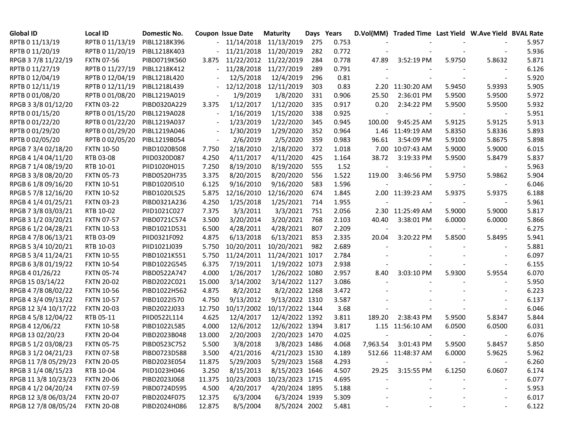| Global ID            | <b>Local ID</b>   | Domestic No. |                          | <b>Coupon Issue Date</b> | <b>Maturity</b>       | Days Years |       |          | D.Vol(MM) Traded Time Last Yield W.Ave Yield BVAL Rate |        |        |       |
|----------------------|-------------------|--------------|--------------------------|--------------------------|-----------------------|------------|-------|----------|--------------------------------------------------------|--------|--------|-------|
| RPTB 0 11/13/19      | RPTB 0 11/13/19   | PIBL1218K396 |                          |                          | 11/14/2018 11/13/2019 | 275        | 0.753 |          |                                                        |        |        | 5.957 |
| RPTB 0 11/20/19      | RPTB 0 11/20/19   | PIBL1218K403 |                          |                          | 11/21/2018 11/20/2019 | 282        | 0.772 |          |                                                        |        |        | 5.936 |
| RPGB 37/8 11/22/19   | <b>FXTN 07-56</b> | PIBD0719K560 | 3.875                    |                          | 11/22/2012 11/22/2019 | 284        | 0.778 | 47.89    | 3:52:19 PM                                             | 5.9750 | 5.8632 | 5.871 |
| RPTB 0 11/27/19      | RPTB 0 11/27/19   | PIBL1218K412 |                          | 11/28/2018               | 11/27/2019            | 289        | 0.791 |          |                                                        |        |        | 6.126 |
| RPTB 0 12/04/19      | RPTB 0 12/04/19   | PIBL1218L420 |                          | 12/5/2018                | 12/4/2019             | 296        | 0.81  |          |                                                        |        |        | 5.920 |
| RPTB 0 12/11/19      | RPTB 0 12/11/19   | PIBL1218L439 |                          | 12/12/2018               | 12/11/2019            | 303        | 0.83  |          | 2.20 11:30:20 AM                                       | 5.9450 | 5.9393 | 5.905 |
| RPTB 0 01/08/20      | RPTB 0 01/08/20   | PIBL1219A019 |                          | 1/9/2019                 | 1/8/2020              | 331        | 0.906 | 25.50    | 2:36:01 PM                                             | 5.9500 | 5.9500 | 5.972 |
| RPGB 3 3/8 01/12/20  | <b>FXTN 03-22</b> | PIBD0320A229 | 3.375                    | 1/12/2017                | 1/12/2020             | 335        | 0.917 | 0.20     | 2:34:22 PM                                             | 5.9500 | 5.9500 | 5.932 |
| RPTB 0 01/15/20      | RPTB 0 01/15/20   | PIBL1219A028 | $\overline{\phantom{a}}$ | 1/16/2019                | 1/15/2020             | 338        | 0.925 |          |                                                        |        |        | 5.951 |
| RPTB 0 01/22/20      | RPTB 0 01/22/20   | PIBL1219A037 |                          | 1/23/2019                | 1/22/2020             | 345        | 0.945 | 100.00   | 9:45:25 AM                                             | 5.9125 | 5.9125 | 5.913 |
| RPTB 0 01/29/20      | RPTB 0 01/29/20   | PIBL1219A046 | $\overline{\phantom{a}}$ | 1/30/2019                | 1/29/2020             | 352        | 0.964 |          | 1.46 11:49:19 AM                                       | 5.8350 | 5.8336 | 5.893 |
| RPTB 0 02/05/20      | RPTB 0 02/05/20   | PIBL1219B054 |                          | 2/6/2019                 | 2/5/2020              | 359        | 0.983 | 96.61    | 3:54:09 PM                                             | 5.9100 | 5.8675 | 5.898 |
| RPGB 7 3/4 02/18/20  | <b>FXTN 10-50</b> | PIBD1020B508 | 7.750                    | 2/18/2010                | 2/18/2020             | 372        | 1.018 |          | 7.00 10:07:43 AM                                       | 5.9000 | 5.9000 | 6.015 |
| RPGB 4 1/4 04/11/20  | RTB 03-08         | PIID0320D087 | 4.250                    | 4/11/2017                | 4/11/2020             | 425        | 1.164 | 38.72    | 3:19:33 PM                                             | 5.9500 | 5.8479 | 5.837 |
| RPGB 7 1/4 08/19/20  | RTB 10-01         | PIID1020H015 | 7.250                    | 8/19/2010                | 8/19/2020             | 555        | 1.52  |          |                                                        |        |        | 5.963 |
| RPGB 3 3/8 08/20/20  | <b>FXTN 05-73</b> | PIBD0520H735 | 3.375                    | 8/20/2015                | 8/20/2020             | 556        | 1.522 | 119.00   | 3:46:56 PM                                             | 5.9750 | 5.9862 | 5.904 |
| RPGB 6 1/8 09/16/20  | <b>FXTN 10-51</b> | PIBD1020I510 | 6.125                    | 9/16/2010                | 9/16/2020             | 583        | 1.596 |          |                                                        |        |        | 6.046 |
| RPGB 5 7/8 12/16/20  | <b>FXTN 10-52</b> | PIBD1020L525 | 5.875                    | 12/16/2010               | 12/16/2020            | 674        | 1.845 |          | 2.00 11:39:23 AM                                       | 5.9375 | 5.9375 | 6.188 |
| RPGB 4 1/4 01/25/21  | <b>FXTN 03-23</b> | PIBD0321A236 | 4.250                    | 1/25/2018                | 1/25/2021             | 714        | 1.955 |          |                                                        |        |        | 5.961 |
| RPGB 7 3/8 03/03/21  | RTB 10-02         | PIID1021C027 | 7.375                    | 3/3/2011                 | 3/3/2021              | 751        | 2.056 |          | 2.30 11:25:49 AM                                       | 5.9000 | 5.9000 | 5.817 |
| RPGB 3 1/2 03/20/21  | <b>FXTN 07-57</b> | PIBD0721C574 | 3.500                    | 3/20/2014                | 3/20/2021             | 768        | 2.103 | 40.40    | 3:38:01 PM                                             | 6.0000 | 6.0000 | 5.866 |
| RPGB 6 1/2 04/28/21  | <b>FXTN 10-53</b> | PIBD1021D531 | 6.500                    | 4/28/2011                | 4/28/2021             | 807        | 2.209 |          |                                                        |        |        | 6.275 |
| RPGB 4 7/8 06/13/21  | RTB 03-09         | PIID0321F092 | 4.875                    | 6/13/2018                | 6/13/2021             | 853        | 2.335 | 20.04    | 3:20:22 PM                                             | 5.8500 | 5.8495 | 5.941 |
| RPGB 5 3/4 10/20/21  | RTB 10-03         | PIID1021J039 | 5.750                    | 10/20/2011               | 10/20/2021            | 982        | 2.689 |          |                                                        |        |        | 5.881 |
| RPGB 5 3/4 11/24/21  | <b>FXTN 10-55</b> | PIBD1021K551 | 5.750                    | 11/24/2011               | 11/24/2021 1017       |            | 2.784 |          |                                                        |        |        | 6.097 |
| RPGB 63/801/19/22    | <b>FXTN 10-54</b> | PIBD1022G545 | 6.375                    | 7/19/2011                | 1/19/2022 1073        |            | 2.938 |          |                                                        |        |        | 6.155 |
| RPGB 4 01/26/22      | <b>FXTN 05-74</b> | PIBD0522A747 | 4.000                    | 1/26/2017                | 1/26/2022 1080        |            | 2.957 | 8.40     | 3:03:10 PM                                             | 5.9300 | 5.9554 | 6.070 |
| RPGB 15 03/14/22     | <b>FXTN 20-02</b> | PIBD2022C021 | 15.000                   | 3/14/2002                | 3/14/2022 1127        |            | 3.086 |          |                                                        |        |        | 5.950 |
| RPGB 4 7/8 08/02/22  | <b>FXTN 10-56</b> | PIBD1022H562 | 4.875                    | 8/2/2012                 | 8/2/2022 1268         |            | 3.472 |          |                                                        |        |        | 6.223 |
| RPGB 4 3/4 09/13/22  | <b>FXTN 10-57</b> | PIBD1022I570 | 4.750                    | 9/13/2012                | 9/13/2022 1310        |            | 3.587 |          |                                                        |        |        | 6.137 |
| RPGB 12 3/4 10/17/22 | <b>FXTN 20-03</b> | PIBD2022J033 | 12.750                   | 10/17/2002               | 10/17/2022 1344       |            | 3.68  |          |                                                        |        |        | 6.046 |
| RPGB 4 5/8 12/04/22  | RTB 05-11         | PIID0522L114 | 4.625                    | 12/4/2017                | 12/4/2022 1392        |            | 3.811 | 189.20   | 2:38:43 PM                                             | 5.9500 | 5.8347 | 5.844 |
| RPGB 4 12/06/22      | <b>FXTN 10-58</b> | PIBD1022L585 | 4.000                    | 12/6/2012                | 12/6/2022 1394        |            | 3.817 |          | 1.15 11:56:10 AM                                       | 6.0500 | 6.0500 | 6.031 |
| RPGB 13 02/20/23     | <b>FXTN 20-04</b> | PIBD2023B048 | 13.000                   | 2/20/2003                | 2/20/2023 1470        |            | 4.025 |          |                                                        |        |        | 6.076 |
| RPGB 5 1/2 03/08/23  | <b>FXTN 05-75</b> | PIBD0523C752 | 5.500                    | 3/8/2018                 | 3/8/2023 1486         |            | 4.068 | 7,963.54 | 3:01:43 PM                                             | 5.9500 | 5.8457 | 5.850 |
| RPGB 3 1/2 04/21/23  | <b>FXTN 07-58</b> | PIBD0723D588 | 3.500                    | 4/21/2016                | 4/21/2023 1530        |            | 4.189 |          | 512.66 11:48:37 AM                                     | 6.0000 | 5.9625 | 5.962 |
| RPGB 11 7/8 05/29/23 | <b>FXTN 20-05</b> | PIBD2023E054 | 11.875                   | 5/29/2003                | 5/29/2023 1568        |            | 4.293 |          |                                                        |        |        | 6.260 |
| RPGB 3 1/4 08/15/23  | RTB 10-04         | PIID1023H046 | 3.250                    | 8/15/2013                | 8/15/2023 1646        |            | 4.507 | 29.25    | 3:15:55 PM                                             | 6.1250 | 6.0607 | 6.174 |
| RPGB 11 3/8 10/23/23 | <b>FXTN 20-06</b> | PIBD2023J068 | 11.375                   | 10/23/2003               | 10/23/2023 1715       |            | 4.695 |          |                                                        |        |        | 6.077 |
| RPGB 4 1/2 04/20/24  | <b>FXTN 07-59</b> | PIBD0724D595 | 4.500                    | 4/20/2017                | 4/20/2024 1895        |            | 5.188 |          |                                                        |        |        | 5.953 |
| RPGB 12 3/8 06/03/24 | <b>FXTN 20-07</b> | PIBD2024F075 | 12.375                   | 6/3/2004                 | 6/3/2024 1939         |            | 5.309 |          |                                                        |        |        | 6.017 |
| RPGB 12 7/8 08/05/24 | <b>FXTN 20-08</b> | PIBD2024H086 | 12.875                   | 8/5/2004                 | 8/5/2024 2002         |            | 5.481 |          |                                                        |        |        | 6.122 |